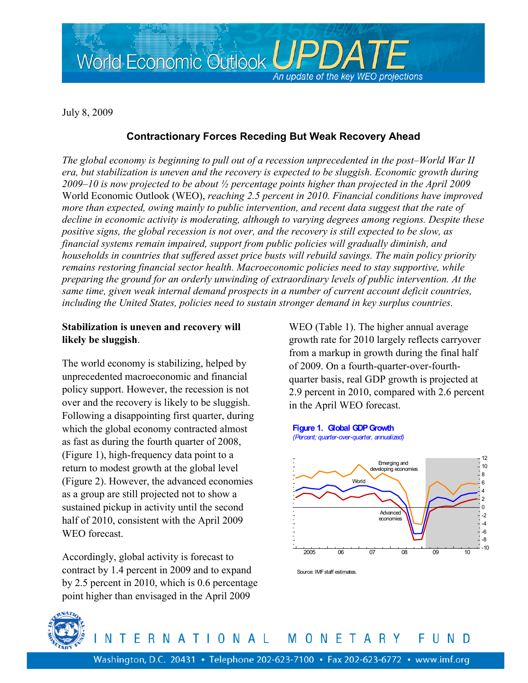

July 8, 2009

# **Contractionary Forces Receding But Weak Recovery Ahead**

*The global economy is beginning to pull out of a recession unprecedented in the post–World War II era, but stabilization is uneven and the recovery is expected to be sluggish. Economic growth during 2009–10 is now projected to be about ½ percentage points higher than projected in the April 2009*  World Economic Outlook (WEO), *reaching 2.5 percent in 2010. Financial conditions have improved more than expected, owing mainly to public intervention, and recent data suggest that the rate of decline in economic activity is moderating, although to varying degrees among regions. Despite these positive signs, the global recession is not over, and the recovery is still expected to be slow, as financial systems remain impaired, support from public policies will gradually diminish, and households in countries that suffered asset price busts will rebuild savings. The main policy priority remains restoring financial sector health. Macroeconomic policies need to stay supportive, while preparing the ground for an orderly unwinding of extraordinary levels of public intervention. At the same time, given weak internal demand prospects in a number of current account deficit countries, including the United States, policies need to sustain stronger demand in key surplus countries.* 

## **Stabilization is uneven and recovery will likely be sluggish**.

The world economy is stabilizing, helped by unprecedented macroeconomic and financial policy support. However, the recession is not over and the recovery is likely to be sluggish. Following a disappointing first quarter, during which the global economy contracted almost as fast as during the fourth quarter of 2008, (Figure 1), high-frequency data point to a return to modest growth at the global level (Figure 2). However, the advanced economies as a group are still projected not to show a sustained pickup in activity until the second half of 2010, consistent with the April 2009 WEO forecast.

Accordingly, global activity is forecast to contract by 1.4 percent in 2009 and to expand by 2.5 percent in 2010, which is 0.6 percentage point higher than envisaged in the April 2009

WEO (Table 1). The higher annual average growth rate for 2010 largely reflects carryover from a markup in growth during the final half of 2009. On a fourth-quarter-over-fourthquarter basis, real GDP growth is projected at 2.9 percent in 2010, compared with 2.6 percent in the April WEO forecast.

**Figure 1. Global GDP Growth** *(Percent; quarter-over-quarter, annualized)*



Source: IMF staff estimates.



ERNATIONAL MONETARY N Ð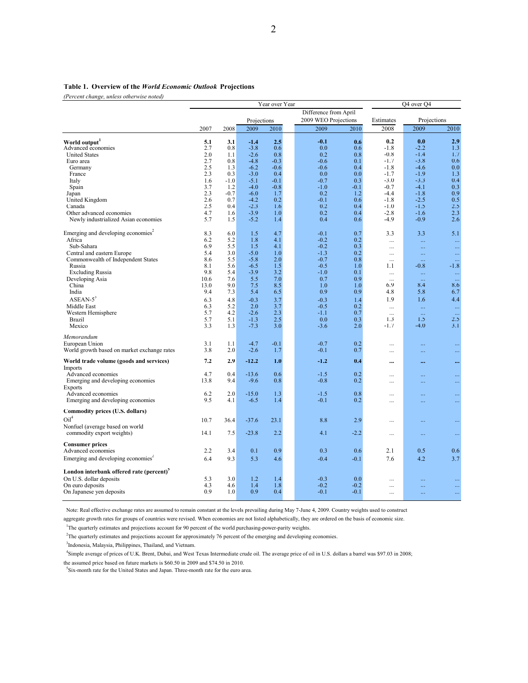#### **Table 1. Overview of the** *World Economic Outlook* **Projections**

*(Percent change, unless otherwise noted)*

|                                                      | Year over Year |             |         |        |                       |        |           | Q4 over Q4  |           |                 |
|------------------------------------------------------|----------------|-------------|---------|--------|-----------------------|--------|-----------|-------------|-----------|-----------------|
|                                                      |                |             |         |        | Difference from April |        |           |             |           |                 |
|                                                      |                | Projections |         |        | 2009 WEO Projections  |        | Estimates | Projections |           |                 |
|                                                      | 2007           | 2008        | 2009    | 2010   |                       | 2009   | 2010      | 2008        | 2009      | 2010            |
|                                                      |                |             |         |        |                       |        |           |             |           |                 |
| World output                                         | 5.1            | 3.1         | $-1.4$  | 2.5    |                       | $-0.1$ | 0.6       | 0.2         | 0.0       | 2.9             |
| Advanced economies                                   | 2.7            | 0.8         | $-3.8$  | 0.6    |                       | 0.0    | 0.6       | $-1.8$      | $-2.2$    | 1.3             |
| <b>United States</b>                                 | 2.0            | 1.1         | $-2.6$  | 0.8    |                       | 0.2    | 0.8       | $-0.8$      | $-1.4$    | 1.7             |
| Euro area                                            | 2.7            | 0.8         | $-4.8$  | $-0.3$ |                       | $-0.6$ | 0.1       | $-1.7$      | $-3.8$    | 0.6             |
| Germany                                              | 2.5            | 1.3         | $-6.2$  | $-0.6$ |                       | $-0.6$ | 0.4       | $-1.8$      | $-4.6$    | 0.0             |
| France                                               | 2.3            | 0.3         | $-3.0$  | 0.4    |                       | 0.0    | 0.0       | $-1.7$      | $-1.9$    | 1.3             |
| Italy                                                | 1.6            | $-1.0$      | $-5.1$  | $-0.1$ |                       | $-0.7$ | 0.3       | $-3.0$      | $-3.3$    | 0.4             |
| Spain                                                | 3.7            | 1.2         | $-4.0$  | $-0.8$ |                       | $-1.0$ | $-0.1$    | $-0.7$      | $-4.1$    | 0.3             |
| Japan                                                | 2.3            | $-0.7$      | $-6.0$  | 1.7    |                       | 0.2    | 1.2       | $-4.4$      | $-1.8$    | 0.9             |
| United Kingdom                                       | 2.6            | 0.7         | $-4.2$  | 0.2    |                       | $-0.1$ | 0.6       | $-1.8$      | $-2.5$    | 0.5             |
| Canada                                               | 2.5            | 0.4         | $-2.3$  | 1.6    |                       | 0.2    | 0.4       | $-1.0$      | $-1.5$    | 2.5             |
| Other advanced economies                             | 4.7            | 1.6         | $-3.9$  | 1.0    |                       | 0.2    | 0.4       | $-2.8$      | $-1.6$    | 2.3             |
| Newly industrialized Asian economies                 | 5.7            | 1.5         | $-5.2$  | 1.4    |                       | 0.4    | 0.6       | $-4.9$      | $-0.9$    | 2.6             |
|                                                      |                |             |         |        |                       |        |           |             |           |                 |
| Emerging and developing economies <sup>2</sup>       | 8.3            | 6.0         | 1.5     | 4.7    |                       | $-0.1$ | 0.7       | 3.3         | 3.3       | 5.1             |
| Africa                                               | 6.2            | 5.2         | 1.8     | 4.1    |                       | $-0.2$ | 0.2       | $\cdots$    |           | $\ddotsc$       |
| Sub-Sahara                                           | 6.9            | 5.5         | 1.5     | 4.1    |                       | $-0.2$ | 0.3       | $\ddotsc$   | Щ,        | $\ldots$        |
| Central and eastern Europe                           | 5.4            | 3.0         | $-5.0$  | 1.0    |                       | $-1.3$ | 0.2       |             |           | $\ldots$        |
| Commonwealth of Independent States                   | 8.6            | 5.5         | $-5.8$  | 2.0    |                       | $-0.7$ | 0.8       | $\ddotsc$   |           |                 |
| Russia                                               | 8.1            | 5.6         | $-6.5$  | 1.5    |                       | $-0.5$ | 1.0       | 1.1         | $-0.8$    | $-1.8$          |
| <b>Excluding Russia</b>                              | 9.8            | 5.4         | $-3.9$  | 3.2    |                       | $-1.0$ | 0.1       | $\ddots$    | $\ldots$  | $\ldots$        |
| Developing Asia                                      | 10.6           | 7.6         | 5.5     | 7.0    |                       | 0.7    | 0.9       | $\ddotsc$   | $\ddotsc$ | $\sim$ . $\sim$ |
| China                                                | 13.0           | 9.0         | 7.5     | 8.5    |                       | 1.0    | 1.0       | 6.9         | 8.4       | 8.6             |
| India                                                | 9.4            | 7.3         | 5.4     | 6.5    |                       | 0.9    | 0.9       | 4.8         | 5.8       | 6.7             |
| $ASEAN-5^3$                                          | 6.3            | 4.8         | $-0.3$  | 3.7    |                       | $-0.3$ | 1.4       | 1.9         | 1.6       | 4.4             |
| Middle East                                          | 6.3            | 5.2         | 2.0     | 3.7    |                       | $-0.5$ | 0.2       | $\ddotsc$   | $\ldots$  | $\ddotsc$       |
| Western Hemisphere                                   | 5.7            | 4.2         | $-2.6$  | 2.3    |                       | $-1.1$ | 0.7       |             |           | $\ddotsc$       |
| Brazil                                               | 5.7            | 5.1         | $-1.3$  | 2.5    |                       | 0.0    | 0.3       | 1.3         | 1.5       | 2.5             |
| Mexico                                               | 3.3            | 1.3         | $-7.3$  | 3.0    |                       | $-3.6$ | 2.0       | $-1.7$      | $-4.0$    | 3.1             |
| Memorandum                                           |                |             |         |        |                       |        |           |             |           |                 |
|                                                      | 3.1            | 1.1         | $-4.7$  | $-0.1$ |                       | $-0.7$ | 0.2       |             |           |                 |
| European Union                                       |                |             |         |        |                       |        |           | $\cdots$    |           |                 |
| World growth based on market exchange rates          | 3.8            | 2.0         | $-2.6$  | 1.7    |                       | $-0.1$ | 0.7       |             |           | $\ldots$        |
| World trade volume (goods and services)              | 7.2            | 2.9         | $-12.2$ | 1.0    |                       | $-1.2$ | 0.4       |             |           | $\cdots$        |
| Imports<br>Advanced economies                        | 4.7            | 0.4         | $-13.6$ | 0.6    |                       | $-1.5$ | 0.2       |             |           |                 |
| Emerging and developing economies                    | 13.8           | 9.4         | $-9.6$  | 0.8    |                       | $-0.8$ | 0.2       | .           |           |                 |
| <b>Exports</b>                                       |                |             |         |        |                       |        |           |             |           |                 |
| Advanced economies                                   | 6.2            | 2.0         | $-15.0$ | 1.3    |                       | $-1.5$ | 0.8       |             |           | $\ddotsc$       |
| Emerging and developing economies                    | 9.5            | 4.1         | $-6.5$  | 1.4    |                       | $-0.1$ | 0.2       | $\cdots$    | $\cdots$  |                 |
|                                                      |                |             |         |        |                       |        |           | $\cdots$    |           | $\ldots$        |
| Commodity prices (U.S. dollars)                      |                |             |         |        |                       |        |           |             |           |                 |
| $\text{Oil}^4$                                       | 10.7           | 36.4        | $-37.6$ | 23.1   |                       | 8.8    | 2.9       | $\cdots$    |           | $\ldots$        |
| Nonfuel (average based on world                      |                |             |         |        |                       |        |           |             |           |                 |
| commodity export weights)                            | 14.1           | 7.5         | $-23.8$ | 2.2    |                       | 4.1    | $-2.2$    |             |           | $\ldots$        |
|                                                      |                |             |         |        |                       |        |           |             |           |                 |
| <b>Consumer prices</b>                               |                |             |         |        |                       |        |           |             |           |                 |
| Advanced economies                                   | 2.2            | 3.4         | 0.1     | 0.9    |                       | 0.3    | 0.6       | 2.1         | 0.5       | 0.6             |
| Emerging and developing economies <sup>2</sup>       | 6.4            | 9.3         | 5.3     | 4.6    |                       | $-0.4$ | $-0.1$    | 7.6         | 4.2       | 3.7             |
|                                                      |                |             |         |        |                       |        |           |             |           |                 |
| London interbank offered rate (percent) <sup>5</sup> |                |             |         |        |                       |        |           |             |           |                 |
| On U.S. dollar deposits                              | 5.3            | 3.0         | 1.2     | 1.4    |                       | $-0.3$ | 0.0       | .           |           | $\ldots$        |
| On euro deposits                                     | 4.3            | 4.6         | 1.4     | 1.8    |                       | $-0.2$ | $-0.2$    |             |           | $\ldots$        |
| On Japanese yen deposits                             | 0.9            | 1.0         | 0.9     | 0.4    |                       | $-0.1$ | $-0.1$    |             |           | $\ldots$        |
|                                                      |                |             |         |        |                       |        |           |             |           |                 |

Note: Real effective exchange rates are assumed to remain constant at the levels prevailing during May 7-June 4, 2009. Country weights used to construct

aggregate growth rates for groups of countries were revised. When economies are not listed alphabetically, they are ordered on the basis of economic size.

<sup>1</sup>The quarterly estimates and projections account for 90 percent of the world purchasing-power-parity weights.

<sup>2</sup>The quarterly estimates and projections account for approximately 76 percent of the emerging and developing economies.

<sup>3</sup>Indonesia, Malaysia, Philippines, Thailand, and Vietnam.

 4 Simple average of prices of U.K. Brent, Dubai, and West Texas Intermediate crude oil. The average price of oil in U.S. dollars a barrel was \$97.03 in 2008; the assumed price based on future markets is \$60.50 in 2009 and \$74.50 in 2010.

5 Six-month rate for the United States and Japan. Three-month rate for the euro area.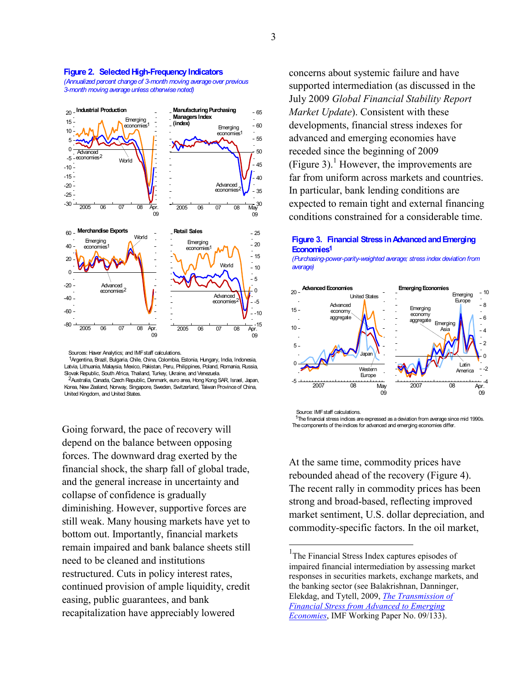

### **Figure 2. Selected High-Frequency Indicators**

*(Annualized percent change of 3-month moving average over previous 3-month moving average unless otherwise noted)*

Sources: Haver Analytics; and IMF staff calculations.

1 Argentina, Brazil, Bulgaria, Chile, China, Colombia, Estonia, Hungary, India, Indonesia, Latvia, Lithuania, Malaysia, Mexico, Pakistan, Peru, Philippines, Poland, Romania, Russia, Slovak Republic, South Africa, Thailand, Turkey, Ukraine, and Venezuela.

 Australia, Canada, Czech Republic, Denmark, euro area, Hong Kong SAR, Israel, Japan, 2 Korea, New Zealand, Norway, Singapore, Sweden, Switzerland, Taiwan Province of China, United Kingdom, and United States.

Going forward, the pace of recovery will depend on the balance between opposing forces. The downward drag exerted by the financial shock, the sharp fall of global trade, and the general increase in uncertainty and collapse of confidence is gradually diminishing. However, supportive forces are still weak. Many housing markets have yet to bottom out. Importantly, financial markets remain impaired and bank balance sheets still need to be cleaned and institutions restructured. Cuts in policy interest rates, continued provision of ample liquidity, credit easing, public guarantees, and bank recapitalization have appreciably lowered

concerns about systemic failure and have supported intermediation (as discussed in the July 2009 *Global Financial Stability Report Market Update*). Consistent with these developments, financial stress indexes for advanced and emerging economies have receded since the beginning of 2009 (Figure 3).<sup>1</sup> However, the improvements are far from uniform across markets and countries. In particular, bank lending conditions are expected to remain tight and external financing conditions constrained for a considerable time.

### **Figure 3. Financial Stress in Advanced and Emerging Economies 1**

*(Purchasing-power-parity-weighted average; stress index deviation from average)*



Source: IMF staff calculations.

Ļ.

<sup>1</sup>The financial stress indices are expressed as a deviation from average since mid 1990s. The components of the indices for advanced and emerging economies differ.

At the same time, commodity prices have rebounded ahead of the recovery (Figure 4). The recent rally in commodity prices has been strong and broad-based, reflecting improved market sentiment, U.S. dollar depreciation, and commodity-specific factors. In the oil market,

<sup>&</sup>lt;sup>1</sup>The Financial Stress Index captures episodes of impaired financial intermediation by assessing market responses in securities markets, exchange markets, and the banking sector (see Balakrishnan, Danninger, Elekdag, and Tytell, 2009, *The Transmission of Financial Stress from Advanced to Emerging Economies*, IMF Working Paper No. 09/133).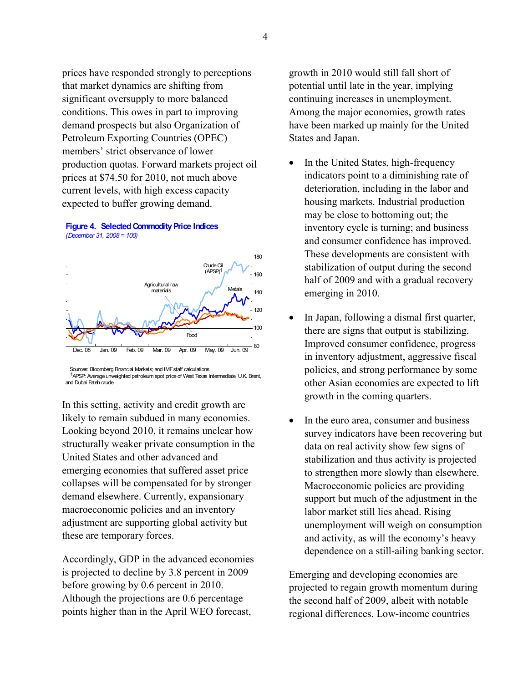prices have responded strongly to perceptions that market dynamics are shifting from significant oversupply to more balanced conditions. This owes in part to improving demand prospects but also Organization of Petroleum Exporting Countries (OPEC) members' strict observance of lower production quotas. Forward markets project oil prices at \$74.50 for 2010, not much above current levels, with high excess capacity expected to buffer growing demand.





 Sources: Bloomberg Financial Markets; and IMF staff calculations. 1APSP: Average unweighted petroleum spot price of West Texas Intermediate, U.K. Brent, and Dubai Fateh crude.

In this setting, activity and credit growth are likely to remain subdued in many economies. Looking beyond 2010, it remains unclear how structurally weaker private consumption in the United States and other advanced and emerging economies that suffered asset price collapses will be compensated for by stronger demand elsewhere. Currently, expansionary macroeconomic policies and an inventory adjustment are supporting global activity but these are temporary forces.

Accordingly, GDP in the advanced economies is projected to decline by 3.8 percent in 2009 before growing by 0.6 percent in 2010. Although the projections are 0.6 percentage points higher than in the April WEO forecast,

growth in 2010 would still fall short of potential until late in the year, implying continuing increases in unemployment. Among the major economies, growth rates have been marked up mainly for the United States and Japan.

- In the United States, high-frequency indicators point to a diminishing rate of deterioration, including in the labor and housing markets. Industrial production may be close to bottoming out; the inventory cycle is turning; and business and consumer confidence has improved. These developments are consistent with stabilization of output during the second half of 2009 and with a gradual recovery emerging in 2010.
- In Japan, following a dismal first quarter, there are signs that output is stabilizing. Improved consumer confidence, progress in inventory adjustment, aggressive fiscal policies, and strong performance by some other Asian economies are expected to lift growth in the coming quarters.
- In the euro area, consumer and business survey indicators have been recovering but data on real activity show few signs of stabilization and thus activity is projected to strengthen more slowly than elsewhere. Macroeconomic policies are providing support but much of the adjustment in the labor market still lies ahead. Rising unemployment will weigh on consumption and activity, as will the economy's heavy dependence on a still-ailing banking sector.

Emerging and developing economies are projected to regain growth momentum during the second half of 2009, albeit with notable regional differences. Low-income countries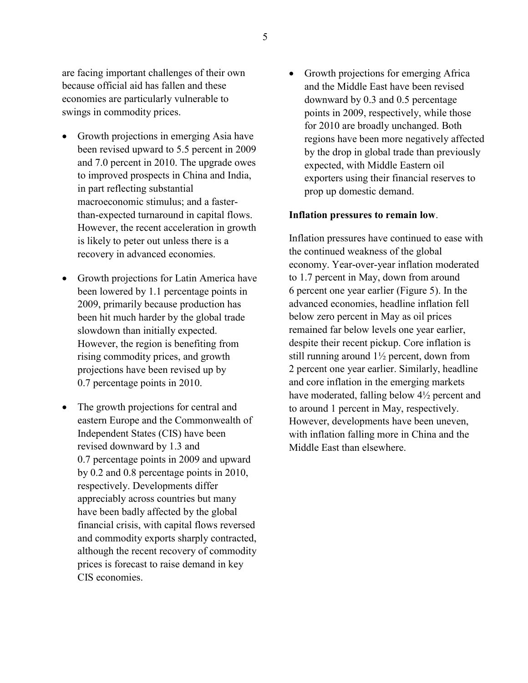are facing important challenges of their own because official aid has fallen and these economies are particularly vulnerable to swings in commodity prices.

- Growth projections in emerging Asia have been revised upward to 5.5 percent in 2009 and 7.0 percent in 2010. The upgrade owes to improved prospects in China and India, in part reflecting substantial macroeconomic stimulus; and a fasterthan-expected turnaround in capital flows. However, the recent acceleration in growth is likely to peter out unless there is a recovery in advanced economies.
- Growth projections for Latin America have been lowered by 1.1 percentage points in 2009, primarily because production has been hit much harder by the global trade slowdown than initially expected. However, the region is benefiting from rising commodity prices, and growth projections have been revised up by 0.7 percentage points in 2010.
- The growth projections for central and eastern Europe and the Commonwealth of Independent States (CIS) have been revised downward by 1.3 and 0.7 percentage points in 2009 and upward by 0.2 and 0.8 percentage points in 2010, respectively. Developments differ appreciably across countries but many have been badly affected by the global financial crisis, with capital flows reversed and commodity exports sharply contracted, although the recent recovery of commodity prices is forecast to raise demand in key CIS economies.

• Growth projections for emerging Africa and the Middle East have been revised downward by 0.3 and 0.5 percentage points in 2009, respectively, while those for 2010 are broadly unchanged. Both regions have been more negatively affected by the drop in global trade than previously expected, with Middle Eastern oil exporters using their financial reserves to prop up domestic demand.

### **Inflation pressures to remain low**.

Inflation pressures have continued to ease with the continued weakness of the global economy. Year-over-year inflation moderated to 1.7 percent in May, down from around 6 percent one year earlier (Figure 5). In the advanced economies, headline inflation fell below zero percent in May as oil prices remained far below levels one year earlier, despite their recent pickup. Core inflation is still running around 1½ percent, down from 2 percent one year earlier. Similarly, headline and core inflation in the emerging markets have moderated, falling below 4½ percent and to around 1 percent in May, respectively. However, developments have been uneven, with inflation falling more in China and the Middle East than elsewhere.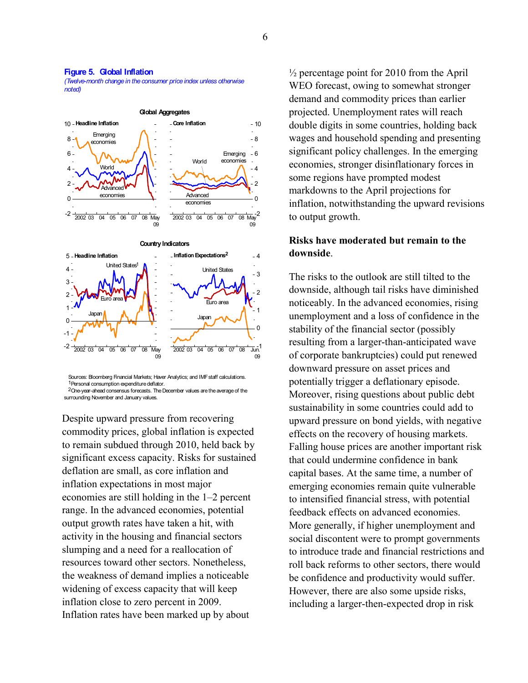#### **Figure 5. Global Inflation**

*(Twelve-month change in the consumer price index unless otherwise noted)*



 Sources: Bloomberg Financial Markets; Haver Analytics; and IMF staff calculations. 1 Personal consumption expenditure deflator.

2 One-year-ahead consensus forecasts. The December values are the average of the surrounding November and January values.

Despite upward pressure from recovering commodity prices, global inflation is expected to remain subdued through 2010, held back by significant excess capacity. Risks for sustained deflation are small, as core inflation and inflation expectations in most major economies are still holding in the 1–2 percent range. In the advanced economies, potential output growth rates have taken a hit, with activity in the housing and financial sectors slumping and a need for a reallocation of resources toward other sectors. Nonetheless, the weakness of demand implies a noticeable widening of excess capacity that will keep inflation close to zero percent in 2009. Inflation rates have been marked up by about

 $\frac{1}{2}$  percentage point for 2010 from the April WEO forecast, owing to somewhat stronger demand and commodity prices than earlier projected. Unemployment rates will reach double digits in some countries, holding back wages and household spending and presenting significant policy challenges. In the emerging economies, stronger disinflationary forces in some regions have prompted modest markdowns to the April projections for inflation, notwithstanding the upward revisions to output growth.

## **Risks have moderated but remain to the downside**.

The risks to the outlook are still tilted to the downside, although tail risks have diminished noticeably. In the advanced economies, rising unemployment and a loss of confidence in the stability of the financial sector (possibly resulting from a larger-than-anticipated wave of corporate bankruptcies) could put renewed downward pressure on asset prices and potentially trigger a deflationary episode. Moreover, rising questions about public debt sustainability in some countries could add to upward pressure on bond yields, with negative effects on the recovery of housing markets. Falling house prices are another important risk that could undermine confidence in bank capital bases. At the same time, a number of emerging economies remain quite vulnerable to intensified financial stress, with potential feedback effects on advanced economies. More generally, if higher unemployment and social discontent were to prompt governments to introduce trade and financial restrictions and roll back reforms to other sectors, there would be confidence and productivity would suffer. However, there are also some upside risks, including a larger-then-expected drop in risk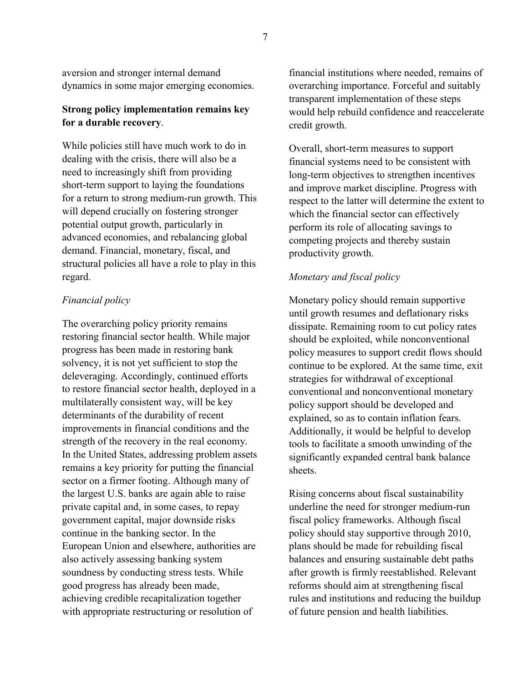aversion and stronger internal demand dynamics in some major emerging economies.

## **Strong policy implementation remains key for a durable recovery**.

While policies still have much work to do in dealing with the crisis, there will also be a need to increasingly shift from providing short-term support to laying the foundations for a return to strong medium-run growth. This will depend crucially on fostering stronger potential output growth, particularly in advanced economies, and rebalancing global demand. Financial, monetary, fiscal, and structural policies all have a role to play in this regard.

## *Financial policy*

The overarching policy priority remains restoring financial sector health. While major progress has been made in restoring bank solvency, it is not yet sufficient to stop the deleveraging. Accordingly, continued efforts to restore financial sector health, deployed in a multilaterally consistent way, will be key determinants of the durability of recent improvements in financial conditions and the strength of the recovery in the real economy. In the United States, addressing problem assets remains a key priority for putting the financial sector on a firmer footing. Although many of the largest U.S. banks are again able to raise private capital and, in some cases, to repay government capital, major downside risks continue in the banking sector. In the European Union and elsewhere, authorities are also actively assessing banking system soundness by conducting stress tests. While good progress has already been made, achieving credible recapitalization together with appropriate restructuring or resolution of

financial institutions where needed, remains of overarching importance. Forceful and suitably transparent implementation of these steps would help rebuild confidence and reaccelerate credit growth.

Overall, short-term measures to support financial systems need to be consistent with long-term objectives to strengthen incentives and improve market discipline. Progress with respect to the latter will determine the extent to which the financial sector can effectively perform its role of allocating savings to competing projects and thereby sustain productivity growth.

## *Monetary and fiscal policy*

Monetary policy should remain supportive until growth resumes and deflationary risks dissipate. Remaining room to cut policy rates should be exploited, while nonconventional policy measures to support credit flows should continue to be explored. At the same time, exit strategies for withdrawal of exceptional conventional and nonconventional monetary policy support should be developed and explained, so as to contain inflation fears. Additionally, it would be helpful to develop tools to facilitate a smooth unwinding of the significantly expanded central bank balance sheets.

Rising concerns about fiscal sustainability underline the need for stronger medium-run fiscal policy frameworks. Although fiscal policy should stay supportive through 2010, plans should be made for rebuilding fiscal balances and ensuring sustainable debt paths after growth is firmly reestablished. Relevant reforms should aim at strengthening fiscal rules and institutions and reducing the buildup of future pension and health liabilities.